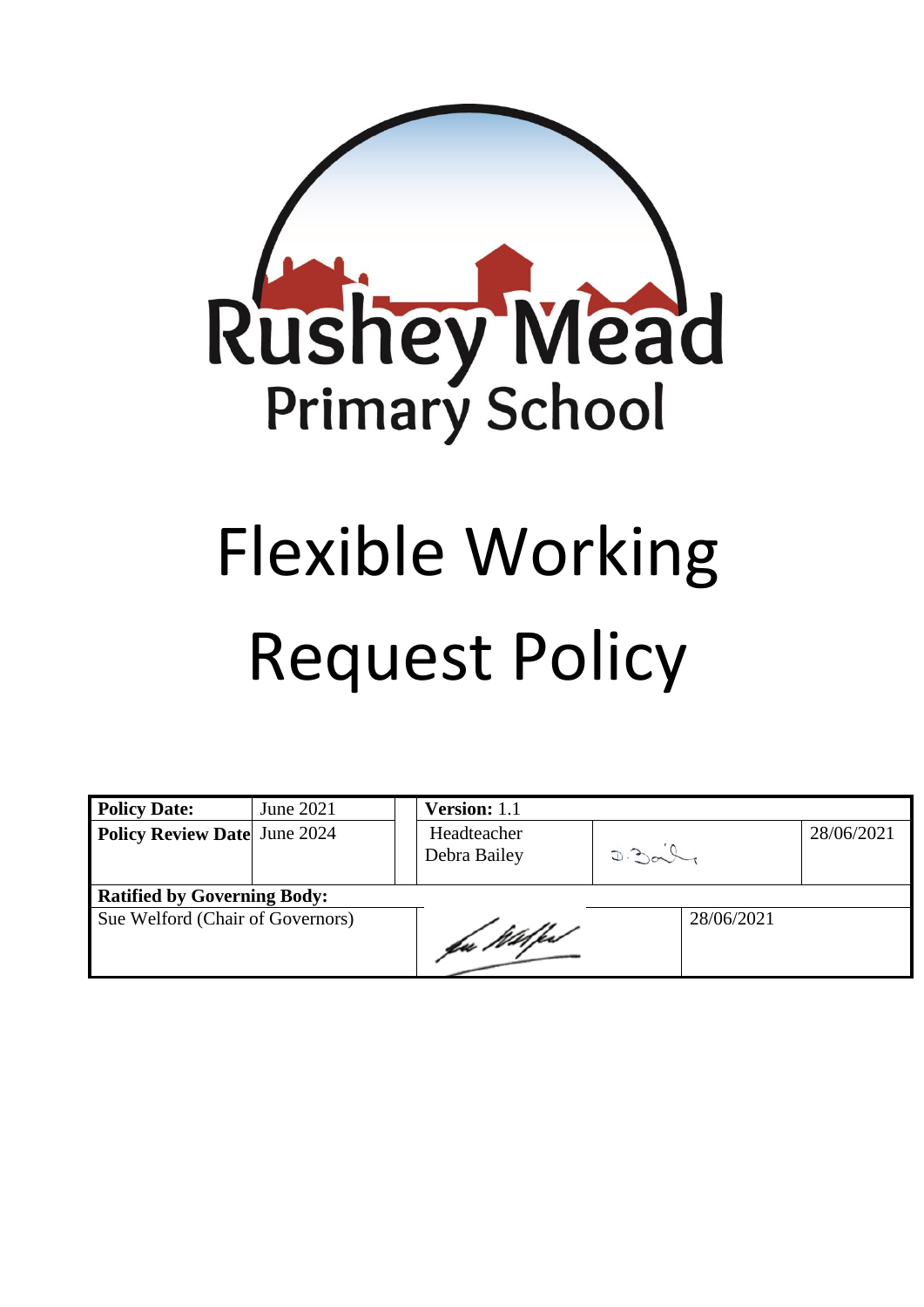

# Flexible Working Request Policy

| <b>Policy Date:</b>                 | June 2021 |  | Version: 1.1                |  |       |            |  |            |
|-------------------------------------|-----------|--|-----------------------------|--|-------|------------|--|------------|
| <b>Policy Review Date</b> June 2024 |           |  | Headteacher<br>Debra Bailey |  | D.30L |            |  | 28/06/2021 |
| <b>Ratified by Governing Body:</b>  |           |  |                             |  |       |            |  |            |
| Sue Welford (Chair of Governors)    |           |  | fu Wilfe                    |  |       | 28/06/2021 |  |            |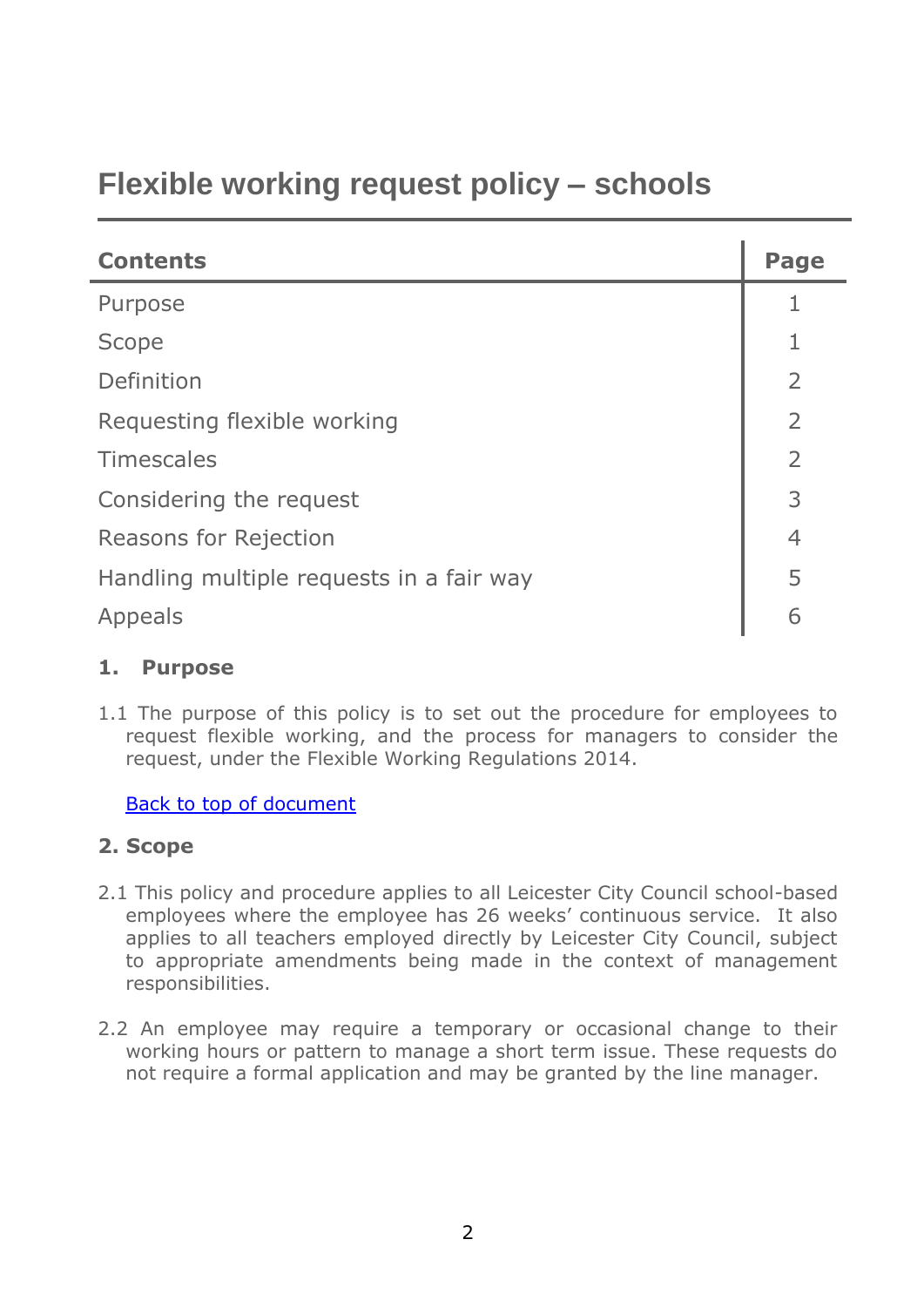# <span id="page-1-0"></span>**Flexible working request policy – schools**

| <b>Contents</b>                          |                |  |
|------------------------------------------|----------------|--|
| Purpose                                  |                |  |
| Scope                                    |                |  |
| Definition                               | $\overline{2}$ |  |
| Requesting flexible working              |                |  |
| <b>Timescales</b>                        | $\overline{2}$ |  |
| Considering the request                  |                |  |
| <b>Reasons for Rejection</b>             |                |  |
| Handling multiple requests in a fair way |                |  |
| Appeals                                  |                |  |

## **1. Purpose**

1.1 The purpose of this policy is to set out the procedure for employees to request flexible working, and the process for managers to consider the request, under the Flexible Working Regulations 2014.

#### [Back to top of document](#page-1-0)

## **2. Scope**

- 2.1 This policy and procedure applies to all Leicester City Council school-based employees where the employee has 26 weeks' continuous service. It also applies to all teachers employed directly by Leicester City Council, subject to appropriate amendments being made in the context of management responsibilities.
- 2.2 An employee may require a temporary or occasional change to their working hours or pattern to manage a short term issue. These requests do not require a formal application and may be granted by the line manager.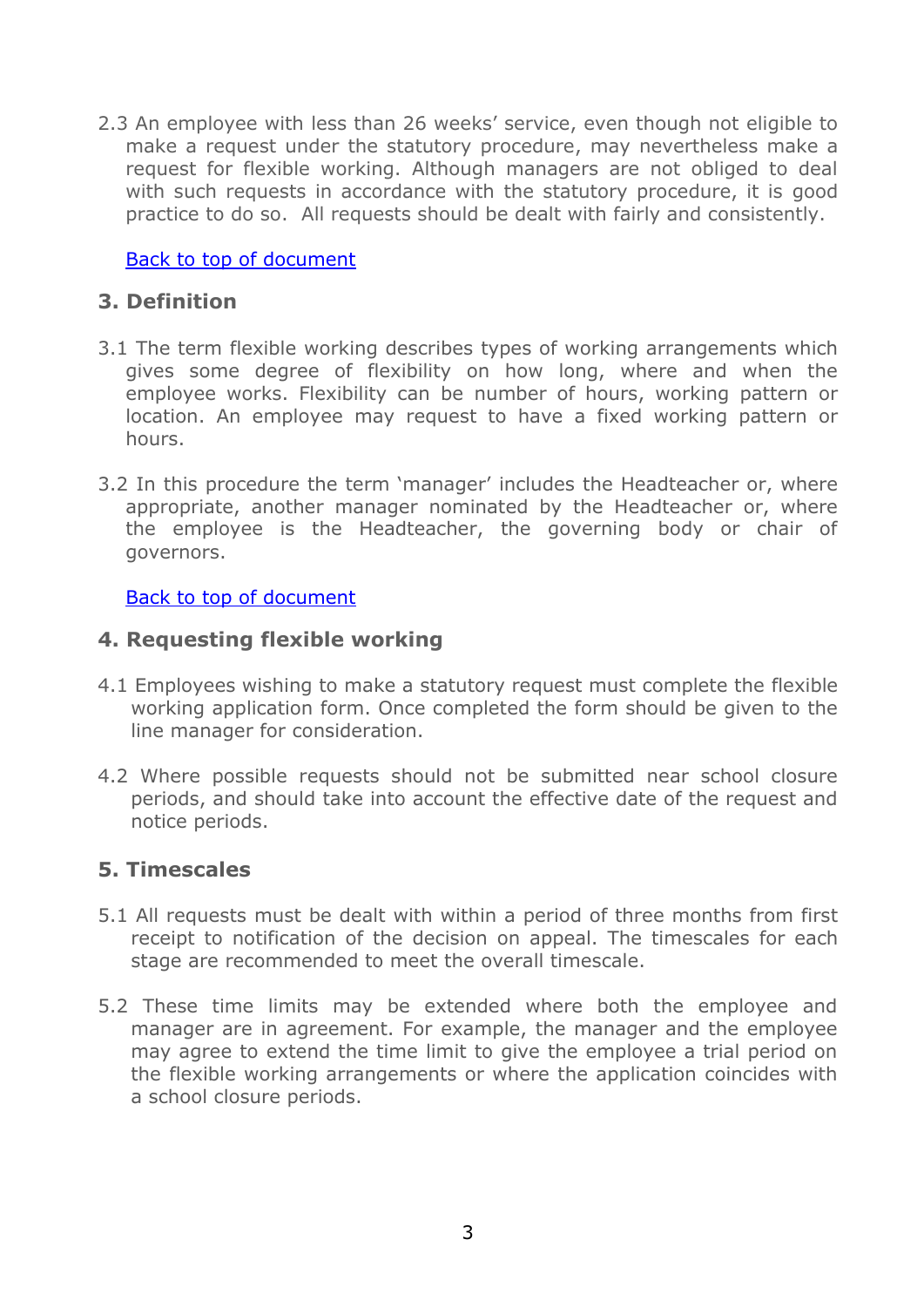2.3 An employee with less than 26 weeks' service, even though not eligible to make a request under the statutory procedure, may nevertheless make a request for flexible working. Although managers are not obliged to deal with such requests in accordance with the statutory procedure, it is good practice to do so. All requests should be dealt with fairly and consistently.

[Back to top of document](#page-1-0)

# **3. Definition**

- 3.1 The term flexible working describes types of working arrangements which gives some degree of flexibility on how long, where and when the employee works. Flexibility can be number of hours, working pattern or location. An employee may request to have a fixed working pattern or hours.
- 3.2 In this procedure the term 'manager' includes the Headteacher or, where appropriate, another manager nominated by the Headteacher or, where the employee is the Headteacher, the governing body or chair of governors.

#### Back [to top of document](#page-1-0)

#### **4. Requesting flexible working**

- 4.1 Employees wishing to make a statutory request must complete the flexible working application form. Once completed the form should be given to the line manager for consideration.
- 4.2 Where possible requests should not be submitted near school closure periods, and should take into account the effective date of the request and notice periods.

## **5. Timescales**

- 5.1 All requests must be dealt with within a period of three months from first receipt to notification of the decision on appeal. The timescales for each stage are recommended to meet the overall timescale.
- 5.2 These time limits may be extended where both the employee and manager are in agreement. For example, the manager and the employee may agree to extend the time limit to give the employee a trial period on the flexible working arrangements or where the application coincides with a school closure periods.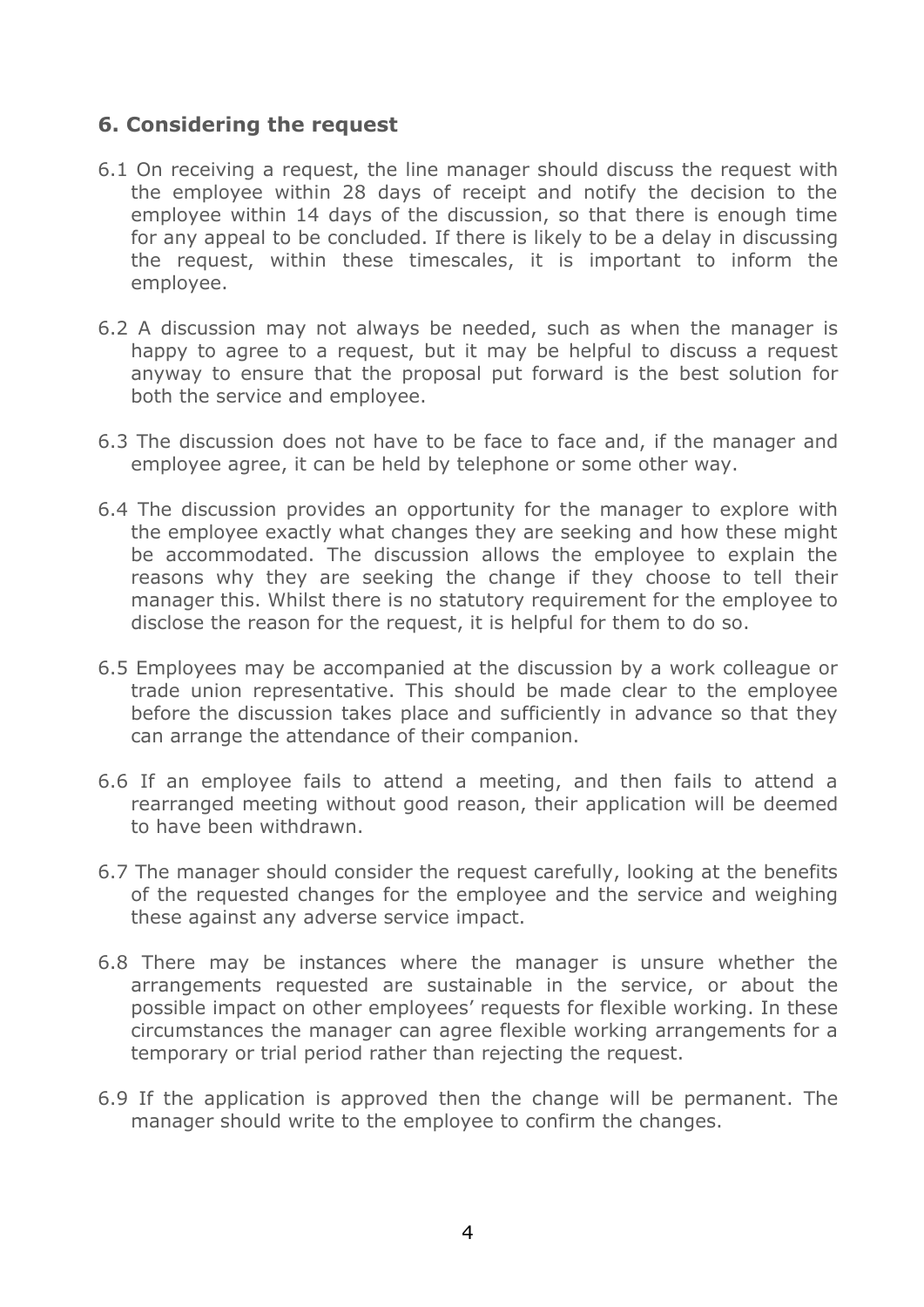# **6. Considering the request**

- 6.1 On receiving a request, the line manager should discuss the request with the employee within 28 days of receipt and notify the decision to the employee within 14 days of the discussion, so that there is enough time for any appeal to be concluded. If there is likely to be a delay in discussing the request, within these timescales, it is important to inform the employee.
- 6.2 A discussion may not always be needed, such as when the manager is happy to agree to a request, but it may be helpful to discuss a request anyway to ensure that the proposal put forward is the best solution for both the service and employee.
- 6.3 The discussion does not have to be face to face and, if the manager and employee agree, it can be held by telephone or some other way.
- 6.4 The discussion provides an opportunity for the manager to explore with the employee exactly what changes they are seeking and how these might be accommodated. The discussion allows the employee to explain the reasons why they are seeking the change if they choose to tell their manager this. Whilst there is no statutory requirement for the employee to disclose the reason for the request, it is helpful for them to do so.
- 6.5 Employees may be accompanied at the discussion by a work colleague or trade union representative. This should be made clear to the employee before the discussion takes place and sufficiently in advance so that they can arrange the attendance of their companion.
- 6.6 If an employee fails to attend a meeting, and then fails to attend a rearranged meeting without good reason, their application will be deemed to have been withdrawn.
- 6.7 The manager should consider the request carefully, looking at the benefits of the requested changes for the employee and the service and weighing these against any adverse service impact.
- 6.8 There may be instances where the manager is unsure whether the arrangements requested are sustainable in the service, or about the possible impact on other employees' requests for flexible working. In these circumstances the manager can agree flexible working arrangements for a temporary or trial period rather than rejecting the request.
- 6.9 If the application is approved then the change will be permanent. The manager should write to the employee to confirm the changes.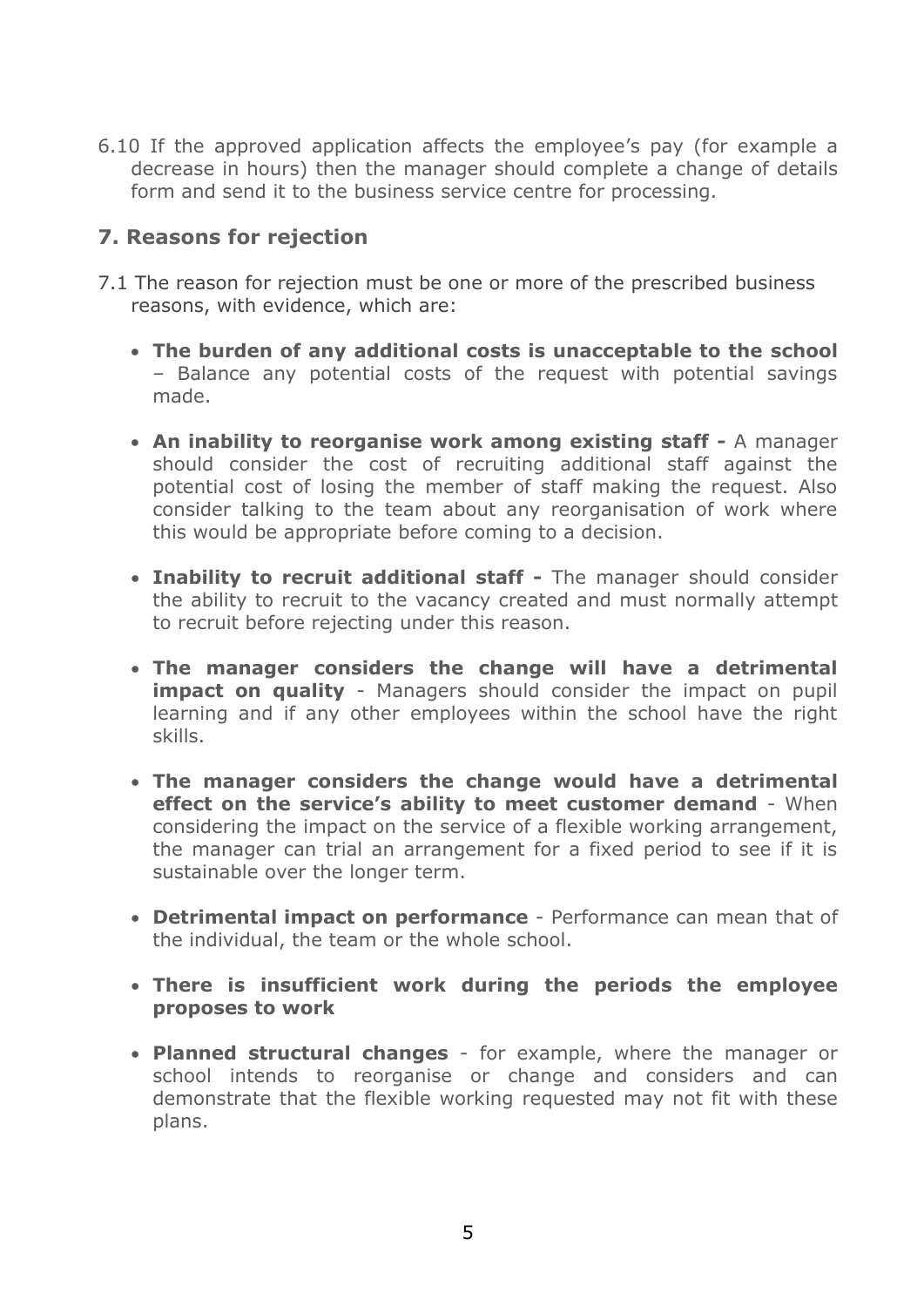6.10 If the approved application affects the employee's pay (for example a decrease in hours) then the manager should complete a change of details form and send it to the business service centre for processing.

# **7. Reasons for rejection**

- 7.1 The reason for rejection must be one or more of the prescribed business reasons, with evidence, which are:
	- **The burden of any additional costs is unacceptable to the school** – Balance any potential costs of the request with potential savings made.
	- **An inability to reorganise work among existing staff -** A manager should consider the cost of recruiting additional staff against the potential cost of losing the member of staff making the request. Also consider talking to the team about any reorganisation of work where this would be appropriate before coming to a decision.
	- **Inability to recruit additional staff -** The manager should consider the ability to recruit to the vacancy created and must normally attempt to recruit before rejecting under this reason.
	- **The manager considers the change will have a detrimental impact on quality** - Managers should consider the impact on pupil learning and if any other employees within the school have the right skills.
	- **The manager considers the change would have a detrimental effect on the service's ability to meet customer demand** - When considering the impact on the service of a flexible working arrangement, the manager can trial an arrangement for a fixed period to see if it is sustainable over the longer term.
	- **Detrimental impact on performance**  Performance can mean that of the individual, the team or the whole school.
	- **There is insufficient work during the periods the employee proposes to work**
	- **Planned structural changes** for example, where the manager or school intends to reorganise or change and considers and can demonstrate that the flexible working requested may not fit with these plans.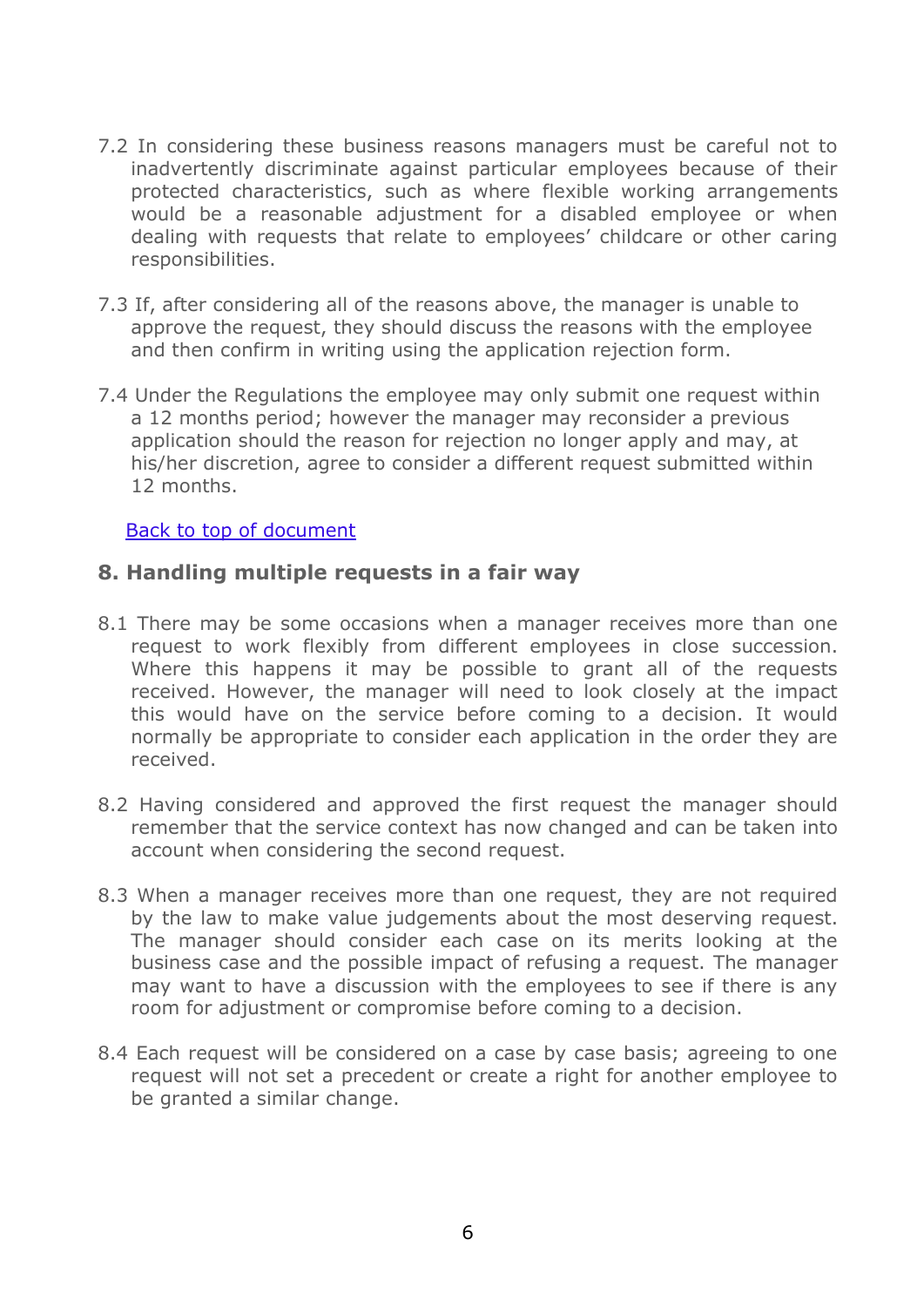- 7.2 In considering these business reasons managers must be careful not to inadvertently discriminate against particular employees because of their protected characteristics, such as where flexible working arrangements would be a reasonable adjustment for a disabled employee or when dealing with requests that relate to employees' childcare or other caring responsibilities.
- 7.3 If, after considering all of the reasons above, the manager is unable to approve the request, they should discuss the reasons with the employee and then confirm in writing using the application rejection form.
- 7.4 Under the Regulations the employee may only submit one request within a 12 months period; however the manager may reconsider a previous application should the reason for rejection no longer apply and may, at his/her discretion, agree to consider a different request submitted within 12 months.

#### [Back to top of document](#page-1-0)

#### **8. Handling multiple requests in a fair way**

- 8.1 There may be some occasions when a manager receives more than one request to work flexibly from different employees in close succession. Where this happens it may be possible to grant all of the requests received. However, the manager will need to look closely at the impact this would have on the service before coming to a decision. It would normally be appropriate to consider each application in the order they are received.
- 8.2 Having considered and approved the first request the manager should remember that the service context has now changed and can be taken into account when considering the second request.
- 8.3 When a manager receives more than one request, they are not required by the law to make value judgements about the most deserving request. The manager should consider each case on its merits looking at the business case and the possible impact of refusing a request. The manager may want to have a discussion with the employees to see if there is any room for adjustment or compromise before coming to a decision.
- 8.4 Each request will be considered on a case by case basis; agreeing to one request will not set a precedent or create a right for another employee to be granted a similar change.